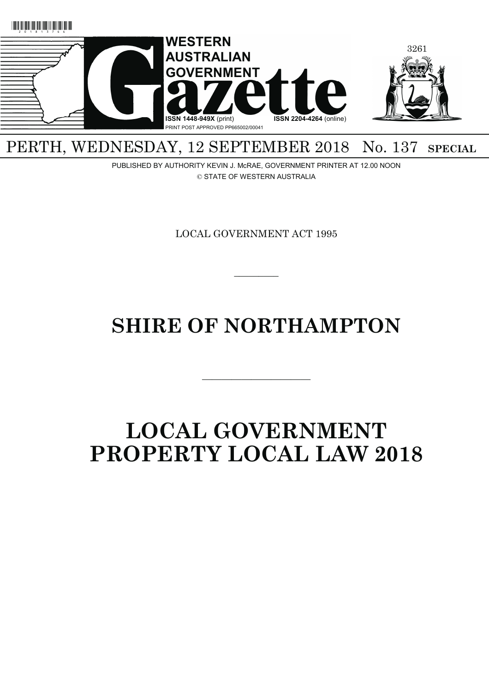

## PERTH, WEDNESDAY, 12 SEPTEMBER 2018 No. 137 **SPECIAL**

PUBLISHED BY AUTHORITY KEVIN J. McRAE, GOVERNMENT PRINTER AT 12.00 NOON © STATE OF WESTERN AUSTRALIA

LOCAL GOVERNMENT ACT 1995

 $\overline{\phantom{a}}$   $\overline{\phantom{a}}$ 

# **SHIRE OF NORTHAMPTON**

———————————

## **LOCAL GOVERNMENT PROPERTY LOCAL LAW 2018**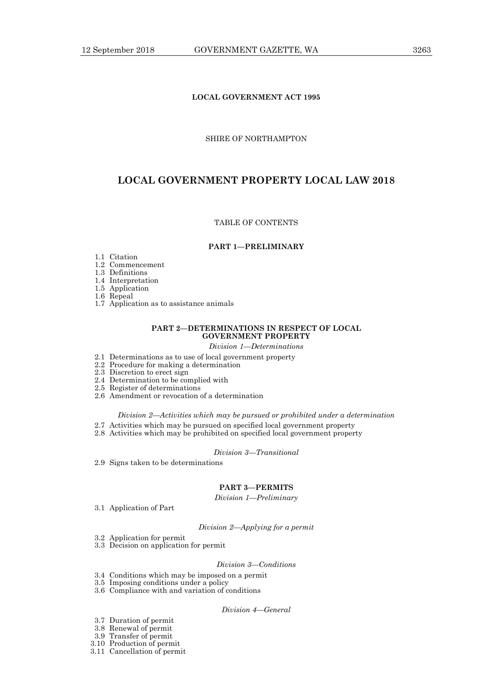## SHIRE OF NORTHAMPTON

## **LOCAL GOVERNMENT PROPERTY LOCAL LAW 2018**

## TABLE OF CONTENTS

## **PART 1—PRELIMINARY**

- 1.1 Citation
- 1.2 Commencement
- 1.3 Definitions
- 1.4 Interpretation
- 1.5 Application
- 1.6 Repeal
- 1.7 Application as to assistance animals

## **PART 2—DETERMINATIONS IN RESPECT OF LOCAL GOVERNMENT PROPERTY**

- *Division 1—Determinations*
- 2.1 Determinations as to use of local government property
- 2.2 Procedure for making a determination
- 2.3 Discretion to erect sign
- 2.4 Determination to be complied with
- 2.5 Register of determinations
- 2.6 Amendment or revocation of a determination

#### *Division 2—Activities which may be pursued or prohibited under a determination*

- 2.7 Activities which may be pursued on specified local government property
- 2.8 Activities which may be prohibited on specified local government property

## *Division 3—Transitional*

2.9 Signs taken to be determinations

## **PART 3—PERMITS**

*Division 1—Preliminary* 

3.1 Application of Part

#### *Division 2—Applying for a permit*

- 3.2 Application for permit
- 3.3 Decision on application for permit

## *Division 3—Conditions*

- 3.4 Conditions which may be imposed on a permit
- 3.5 Imposing conditions under a policy
- 3.6 Compliance with and variation of conditions

## *Division 4—General*

- 3.7 Duration of permit
- 3.8 Renewal of permit
- 3.9 Transfer of permit
	- 3.10 Production of permit
	- 3.11 Cancellation of permit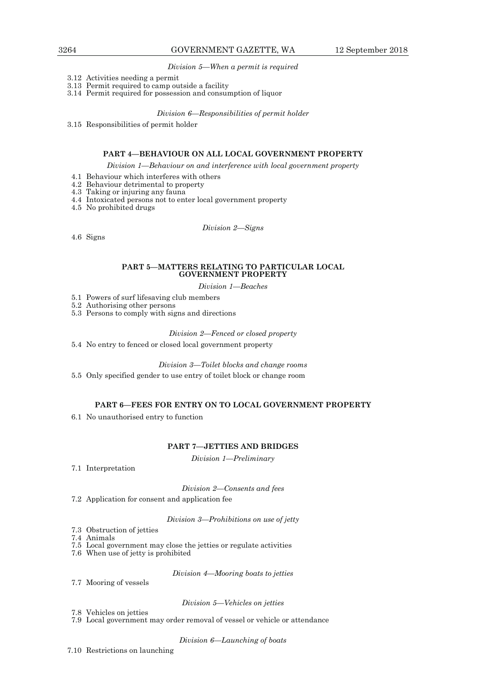*Division 5—When a permit is required* 

- 3.12 Activities needing a permit
- 3.13 Permit required to camp outside a facility
- 3.14 Permit required for possession and consumption of liquor

*Division 6—Responsibilities of permit holder* 

3.15 Responsibilities of permit holder

#### **PART 4—BEHAVIOUR ON ALL LOCAL GOVERNMENT PROPERTY**

*Division 1—Behaviour on and interference with local government property* 

- 4.1 Behaviour which interferes with others
- 4.2 Behaviour detrimental to property
- 4.3 Taking or injuring any fauna
- 4.4 Intoxicated persons not to enter local government property

4.5 No prohibited drugs

*Division 2—Signs* 

4.6 Signs

## **PART 5—MATTERS RELATING TO PARTICULAR LOCAL GOVERNMENT PROPERTY**

#### *Division 1—Beaches*

- 5.1 Powers of surf lifesaving club members
- 5.2 Authorising other persons
- 5.3 Persons to comply with signs and directions

#### *Division 2—Fenced or closed property*

5.4 No entry to fenced or closed local government property

*Division 3—Toilet blocks and change rooms* 

5.5 Only specified gender to use entry of toilet block or change room

## **PART 6—FEES FOR ENTRY ON TO LOCAL GOVERNMENT PROPERTY**

6.1 No unauthorised entry to function

## **PART 7—JETTIES AND BRIDGES**

*Division 1—Preliminary* 

7.1 Interpretation

*Division 2—Consents and fees* 

7.2 Application for consent and application fee

*Division 3—Prohibitions on use of jetty* 

- 7.3 Obstruction of jetties
- 7.4 Animals
- 7.5 Local government may close the jetties or regulate activities
- 7.6 When use of jetty is prohibited

*Division 4—Mooring boats to jetties* 

7.7 Mooring of vessels

*Division 5—Vehicles on jetties* 

- 7.8 Vehicles on jetties
- 7.9 Local government may order removal of vessel or vehicle or attendance

*Division 6—Launching of boats*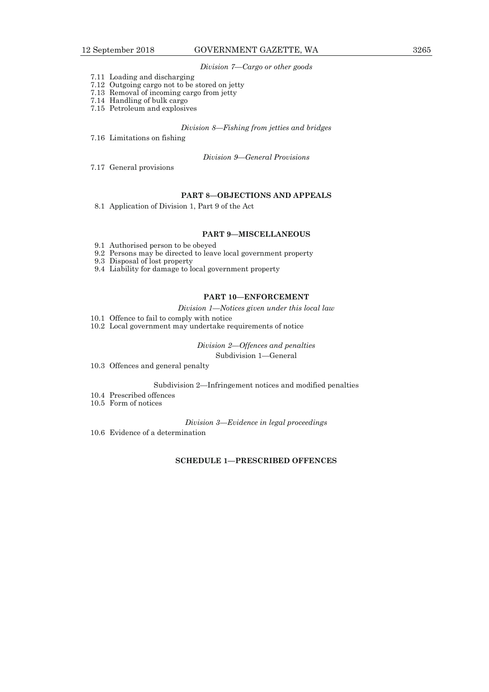#### *Division 7—Cargo or other goods*

- 7.11 Loading and discharging
- 7.12 Outgoing cargo not to be stored on jetty
- 7.13 Removal of incoming cargo from jetty
- 7.14 Handling of bulk cargo
- 7.15 Petroleum and explosives

## *Division 8—Fishing from jetties and bridges*

7.16 Limitations on fishing

*Division 9—General Provisions* 

7.17 General provisions

## **PART 8—OBJECTIONS AND APPEALS**

8.1 Application of Division 1, Part 9 of the Act

#### **PART 9—MISCELLANEOUS**

- 9.1 Authorised person to be obeyed
- 9.2 Persons may be directed to leave local government property
- 9.3 Disposal of lost property
- 9.4 Liability for damage to local government property

## **PART 10—ENFORCEMENT**

*Division 1—Notices given under this local law* 

- 10.1 Offence to fail to comply with notice
- 10.2 Local government may undertake requirements of notice

*Division 2—Offences and penalties*  Subdivision 1—General

10.3 Offences and general penalty

Subdivision 2—Infringement notices and modified penalties

- 10.4 Prescribed offences
- 10.5 Form of notices

*Division 3—Evidence in legal proceedings* 

10.6 Evidence of a determination

## **SCHEDULE 1—PRESCRIBED OFFENCES**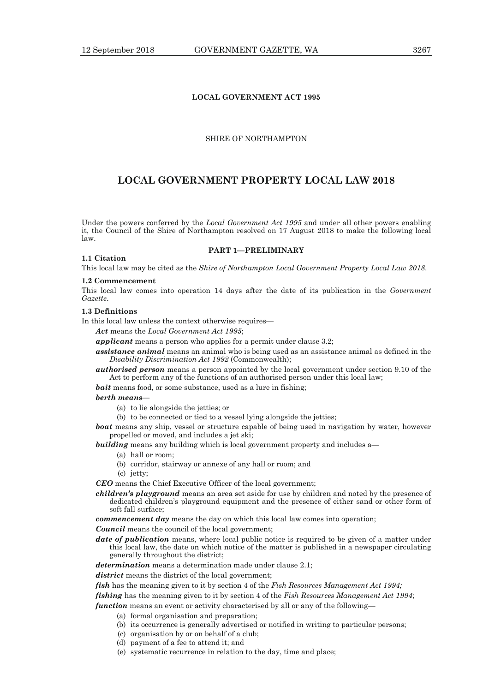## **LOCAL GOVERNMENT ACT 1995**

## SHIRE OF NORTHAMPTON

## **LOCAL GOVERNMENT PROPERTY LOCAL LAW 2018**

Under the powers conferred by the *Local Government Act 1995* and under all other powers enabling it, the Council of the Shire of Northampton resolved on 17 August 2018 to make the following local law.

#### **1.1 Citation**

**PART 1—PRELIMINARY** 

This local law may be cited as the *Shire of Northampton Local Government Property Local Law 2018*.

#### **1.2 Commencement**

This local law comes into operation 14 days after the date of its publication in the *Government Gazette*.

#### **1.3 Definitions**

In this local law unless the context otherwise requires—

*Act* means the *Local Government Act 1995*;

**applicant** means a person who applies for a permit under clause 3.2;

*assistance animal* means an animal who is being used as an assistance animal as defined in the *Disability Discrimination Act 1992* (Commonwealth);

*authorised person* means a person appointed by the local government under section 9.10 of the Act to perform any of the functions of an authorised person under this local law;

*bait* means food, or some substance, used as a lure in fishing;

#### *berth means—*

- (a) to lie alongside the jetties; or
- (b) to be connected or tied to a vessel lying alongside the jetties;

*boat* means any ship, vessel or structure capable of being used in navigation by water, however propelled or moved, and includes a jet ski;

- **building** means any building which is local government property and includes a—
	- (a) hall or room;
	- (b) corridor, stairway or annexe of any hall or room; and
	- (c) jetty;

*CEO* means the Chief Executive Officer of the local government;

*children's playground* means an area set aside for use by children and noted by the presence of dedicated children's playground equipment and the presence of either sand or other form of soft fall surface;

*commencement day* means the day on which this local law comes into operation;

*Council* means the council of the local government;

*date of publication* means, where local public notice is required to be given of a matter under this local law, the date on which notice of the matter is published in a newspaper circulating generally throughout the district;

*determination* means a determination made under clause 2.1;

*district* means the district of the local government;

*fish* has the meaning given to it by section 4 of the *Fish Resources Management Act 1994;*

*fishing* has the meaning given to it by section 4 of the *Fish Resources Management Act 1994*;

*function* means an event or activity characterised by all or any of the following—

- (a) formal organisation and preparation;
- (b) its occurrence is generally advertised or notified in writing to particular persons;
- (c) organisation by or on behalf of a club;
- (d) payment of a fee to attend it; and
- (e) systematic recurrence in relation to the day, time and place;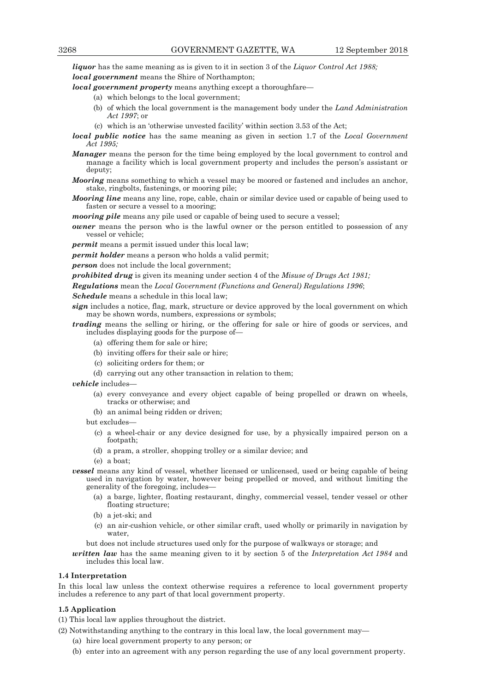*liquor* has the same meaning as is given to it in section 3 of the *Liquor Control Act 1988; local government* means the Shire of Northampton;

*local government property* means anything except a thoroughfare—

- (a) which belongs to the local government;
- (b) of which the local government is the management body under the *Land Administration Act 1997*; or
- (c) which is an 'otherwise unvested facility' within section 3.53 of the Act;
- *local public notice* has the same meaning as given in section 1.7 of the *Local Government Act 1995;*
- *Manager* means the person for the time being employed by the local government to control and manage a facility which is local government property and includes the person's assistant or deputy;
- *Mooring* means something to which a vessel may be moored or fastened and includes an anchor, stake, ringbolts, fastenings, or mooring pile;
- *Mooring line* means any line, rope, cable, chain or similar device used or capable of being used to fasten or secure a vessel to a mooring;

*mooring pile* means any pile used or capable of being used to secure a vessel;

*owner* means the person who is the lawful owner or the person entitled to possession of any vessel or vehicle;

*permit* means a permit issued under this local law;

*permit holder* means a person who holds a valid permit;

*person* does not include the local government;

*prohibited drug* is given its meaning under section 4 of the *Misuse of Drugs Act 1981;* 

*Regulations* mean the *Local Government (Functions and General) Regulations 1996*;

*Schedule* means a schedule in this local law;

*sign* includes a notice, flag, mark, structure or device approved by the local government on which may be shown words, numbers, expressions or symbols;

- *trading* means the selling or hiring, or the offering for sale or hire of goods or services, and includes displaying goods for the purpose of—
	- (a) offering them for sale or hire;
	- (b) inviting offers for their sale or hire;
	- (c) soliciting orders for them; or
	- (d) carrying out any other transaction in relation to them;

*vehicle* includes—

- (a) every conveyance and every object capable of being propelled or drawn on wheels, tracks or otherwise; and
- (b) an animal being ridden or driven;

but excludes—

- (c) a wheel-chair or any device designed for use, by a physically impaired person on a footpath;
- (d) a pram, a stroller, shopping trolley or a similar device; and
- (e) a boat;
- *vessel* means any kind of vessel, whether licensed or unlicensed, used or being capable of being used in navigation by water, however being propelled or moved, and without limiting the generality of the foregoing, includes—
	- (a) a barge, lighter, floating restaurant, dinghy, commercial vessel, tender vessel or other floating structure;
	- (b) a jet-ski; and
	- (c) an air-cushion vehicle, or other similar craft, used wholly or primarily in navigation by water,

but does not include structures used only for the purpose of walkways or storage; and

*written law* has the same meaning given to it by section 5 of the *Interpretation Act 1984* and includes this local law.

#### **1.4 Interpretation**

In this local law unless the context otherwise requires a reference to local government property includes a reference to any part of that local government property.

#### **1.5 Application**

(1) This local law applies throughout the district.

- (2) Notwithstanding anything to the contrary in this local law, the local government may—
	- (a) hire local government property to any person; or
	- (b) enter into an agreement with any person regarding the use of any local government property.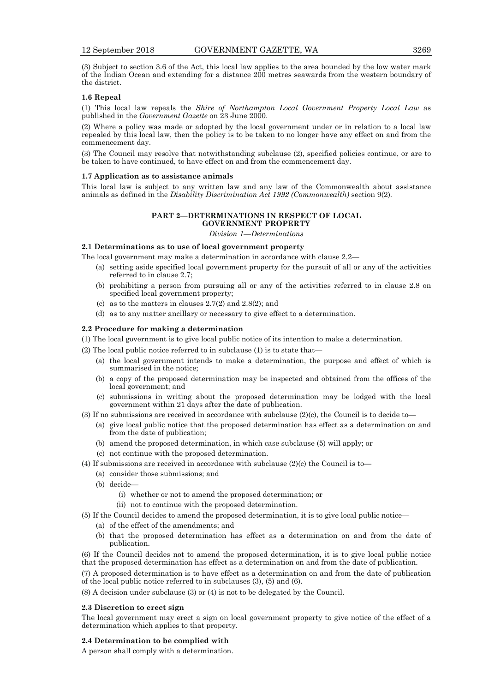(3) Subject to section 3.6 of the Act, this local law applies to the area bounded by the low water mark of the Indian Ocean and extending for a distance 200 metres seawards from the western boundary of the district.

## **1.6 Repeal**

(1) This local law repeals the *Shire of Northampton Local Government Property Local Law* as published in the *Government Gazette* on 23 June 2000.

(2) Where a policy was made or adopted by the local government under or in relation to a local law repealed by this local law, then the policy is to be taken to no longer have any effect on and from the commencement day.

(3) The Council may resolve that notwithstanding subclause (2), specified policies continue, or are to be taken to have continued, to have effect on and from the commencement day.

#### **1.7 Application as to assistance animals**

This local law is subject to any written law and any law of the Commonwealth about assistance animals as defined in the *Disability Discrimination Act 1992 (Commonwealth)* section 9(2)*.*

## **PART 2—DETERMINATIONS IN RESPECT OF LOCAL GOVERNMENT PROPERTY**

*Division 1—Determinations* 

## **2.1 Determinations as to use of local government property**

The local government may make a determination in accordance with clause 2.2—

- (a) setting aside specified local government property for the pursuit of all or any of the activities referred to in clause 2.7;
- (b) prohibiting a person from pursuing all or any of the activities referred to in clause 2.8 on specified local government property;
- (c) as to the matters in clauses 2.7(2) and 2.8(2); and
- (d) as to any matter ancillary or necessary to give effect to a determination.

#### **2.2 Procedure for making a determination**

- (1) The local government is to give local public notice of its intention to make a determination.
- (2) The local public notice referred to in subclause (1) is to state that—
	- (a) the local government intends to make a determination, the purpose and effect of which is summarised in the notice;
	- (b) a copy of the proposed determination may be inspected and obtained from the offices of the local government; and
	- (c) submissions in writing about the proposed determination may be lodged with the local government within 21 days after the date of publication.
- (3) If no submissions are received in accordance with subclause (2)(c), the Council is to decide to—
	- (a) give local public notice that the proposed determination has effect as a determination on and from the date of publication;
	- (b) amend the proposed determination, in which case subclause (5) will apply; or
	- (c) not continue with the proposed determination.
- (4) If submissions are received in accordance with subclause (2)(c) the Council is to—
	- (a) consider those submissions; and
	- (b) decide—
		- (i) whether or not to amend the proposed determination; or
		- (ii) not to continue with the proposed determination.
- (5) If the Council decides to amend the proposed determination, it is to give local public notice—
	- (a) of the effect of the amendments; and
	- (b) that the proposed determination has effect as a determination on and from the date of publication.

(6) If the Council decides not to amend the proposed determination, it is to give local public notice that the proposed determination has effect as a determination on and from the date of publication.

(7) A proposed determination is to have effect as a determination on and from the date of publication of the local public notice referred to in subclauses (3), (5) and (6).

(8) A decision under subclause (3) or (4) is not to be delegated by the Council.

## **2.3 Discretion to erect sign**

The local government may erect a sign on local government property to give notice of the effect of a determination which applies to that property.

#### **2.4 Determination to be complied with**

A person shall comply with a determination.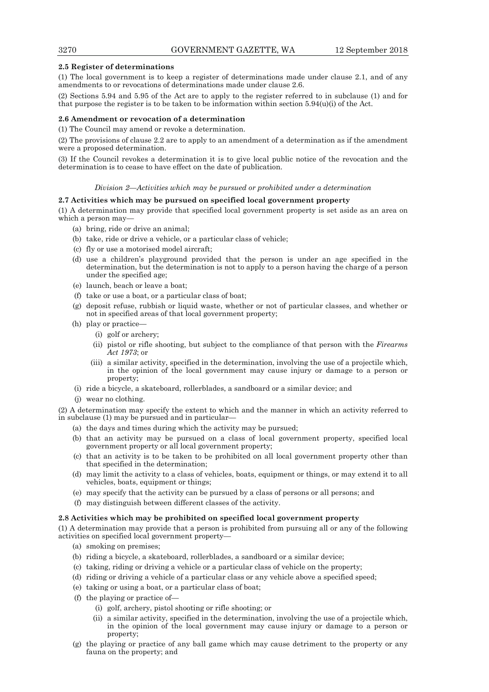## **2.5 Register of determinations**

(1) The local government is to keep a register of determinations made under clause 2.1, and of any amendments to or revocations of determinations made under clause 2.6.

(2) Sections 5.94 and 5.95 of the Act are to apply to the register referred to in subclause (1) and for that purpose the register is to be taken to be information within section  $5.94(u)(i)$  of the Act.

## **2.6 Amendment or revocation of a determination**

(1) The Council may amend or revoke a determination.

(2) The provisions of clause 2.2 are to apply to an amendment of a determination as if the amendment were a proposed determination.

(3) If the Council revokes a determination it is to give local public notice of the revocation and the determination is to cease to have effect on the date of publication.

#### *Division 2—Activities which may be pursued or prohibited under a determination*

## **2.7 Activities which may be pursued on specified local government property**

(1) A determination may provide that specified local government property is set aside as an area on which a person may-

- (a) bring, ride or drive an animal;
- (b) take, ride or drive a vehicle, or a particular class of vehicle;
- (c) fly or use a motorised model aircraft;
- (d) use a children's playground provided that the person is under an age specified in the determination, but the determination is not to apply to a person having the charge of a person under the specified age;
- (e) launch, beach or leave a boat;
- (f) take or use a boat, or a particular class of boat;
- (g) deposit refuse, rubbish or liquid waste, whether or not of particular classes, and whether or not in specified areas of that local government property;
- (h) play or practice—
	- (i) golf or archery;
	- (ii) pistol or rifle shooting, but subject to the compliance of that person with the *Firearms Act 1973*; or
	- (iii) a similar activity, specified in the determination, involving the use of a projectile which, in the opinion of the local government may cause injury or damage to a person or property;
- (i) ride a bicycle, a skateboard, rollerblades, a sandboard or a similar device; and
- (j) wear no clothing.

(2) A determination may specify the extent to which and the manner in which an activity referred to in subclause (1) may be pursued and in particular—

- (a) the days and times during which the activity may be pursued;
- (b) that an activity may be pursued on a class of local government property, specified local government property or all local government property;
- (c) that an activity is to be taken to be prohibited on all local government property other than that specified in the determination;
- (d) may limit the activity to a class of vehicles, boats, equipment or things, or may extend it to all vehicles, boats, equipment or things;
- (e) may specify that the activity can be pursued by a class of persons or all persons; and
- (f) may distinguish between different classes of the activity.

#### **2.8 Activities which may be prohibited on specified local government property**

(1) A determination may provide that a person is prohibited from pursuing all or any of the following activities on specified local government property—

- (a) smoking on premises;
- (b) riding a bicycle, a skateboard, rollerblades, a sandboard or a similar device;
- (c) taking, riding or driving a vehicle or a particular class of vehicle on the property;
- (d) riding or driving a vehicle of a particular class or any vehicle above a specified speed;
- (e) taking or using a boat, or a particular class of boat;
- (f) the playing or practice of—
	- (i) golf, archery, pistol shooting or rifle shooting; or
	- (ii) a similar activity, specified in the determination, involving the use of a projectile which, in the opinion of the local government may cause injury or damage to a person or property;
- (g) the playing or practice of any ball game which may cause detriment to the property or any fauna on the property; and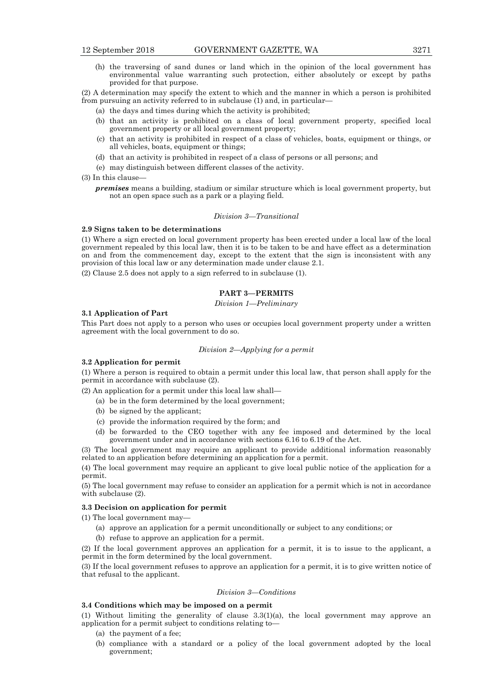(h) the traversing of sand dunes or land which in the opinion of the local government has environmental value warranting such protection, either absolutely or except by paths provided for that purpose.

(2) A determination may specify the extent to which and the manner in which a person is prohibited from pursuing an activity referred to in subclause (1) and, in particular—

- (a) the days and times during which the activity is prohibited;
- (b) that an activity is prohibited on a class of local government property, specified local government property or all local government property;
- (c) that an activity is prohibited in respect of a class of vehicles, boats, equipment or things, or all vehicles, boats, equipment or things;
- (d) that an activity is prohibited in respect of a class of persons or all persons; and
- (e) may distinguish between different classes of the activity.

(3) In this clause—

*premises* means a building, stadium or similar structure which is local government property, but not an open space such as a park or a playing field.

#### *Division 3—Transitional*

## **2.9 Signs taken to be determinations**

(1) Where a sign erected on local government property has been erected under a local law of the local government repealed by this local law, then it is to be taken to be and have effect as a determination on and from the commencement day, except to the extent that the sign is inconsistent with any provision of this local law or any determination made under clause 2.1.

(2) Clause 2.5 does not apply to a sign referred to in subclause (1).

## **PART 3—PERMITS**

*Division 1—Preliminary* 

#### **3.1 Application of Part**

This Part does not apply to a person who uses or occupies local government property under a written agreement with the local government to do so.

#### *Division 2—Applying for a permit*

#### **3.2 Application for permit**

(1) Where a person is required to obtain a permit under this local law, that person shall apply for the permit in accordance with subclause (2).

(2) An application for a permit under this local law shall—

- (a) be in the form determined by the local government;
- (b) be signed by the applicant;
- (c) provide the information required by the form; and
- (d) be forwarded to the CEO together with any fee imposed and determined by the local government under and in accordance with sections 6.16 to 6.19 of the Act.

(3) The local government may require an applicant to provide additional information reasonably related to an application before determining an application for a permit.

(4) The local government may require an applicant to give local public notice of the application for a permit.

(5) The local government may refuse to consider an application for a permit which is not in accordance with subclause (2).

## **3.3 Decision on application for permit**

(1) The local government may—

- (a) approve an application for a permit unconditionally or subject to any conditions; or
- (b) refuse to approve an application for a permit.

(2) If the local government approves an application for a permit, it is to issue to the applicant, a permit in the form determined by the local government.

(3) If the local government refuses to approve an application for a permit, it is to give written notice of that refusal to the applicant.

#### *Division 3—Conditions*

#### **3.4 Conditions which may be imposed on a permit**

(1) Without limiting the generality of clause 3.3(1)(a), the local government may approve an application for a permit subject to conditions relating to—

- (a) the payment of a fee;
- (b) compliance with a standard or a policy of the local government adopted by the local government;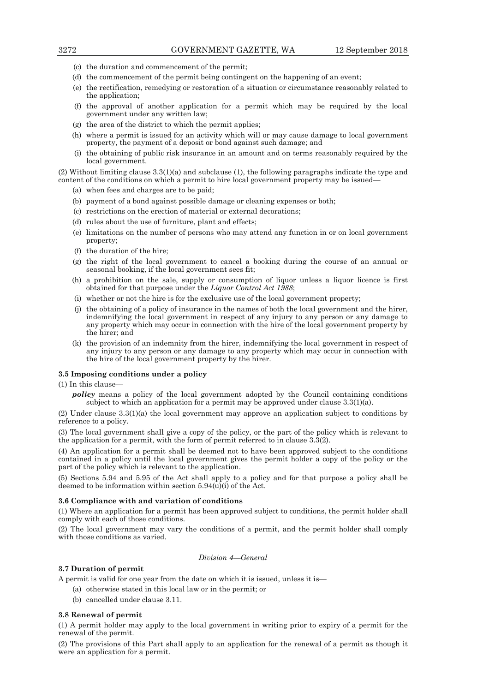- (c) the duration and commencement of the permit;
- (d) the commencement of the permit being contingent on the happening of an event;
- (e) the rectification, remedying or restoration of a situation or circumstance reasonably related to the application;
- (f) the approval of another application for a permit which may be required by the local government under any written law;
- (g) the area of the district to which the permit applies;
- (h) where a permit is issued for an activity which will or may cause damage to local government property, the payment of a deposit or bond against such damage; and
- (i) the obtaining of public risk insurance in an amount and on terms reasonably required by the local government.

(2) Without limiting clause 3.3(1)(a) and subclause (1), the following paragraphs indicate the type and content of the conditions on which a permit to hire local government property may be issued—

- (a) when fees and charges are to be paid;
- (b) payment of a bond against possible damage or cleaning expenses or both;
- (c) restrictions on the erection of material or external decorations;
- (d) rules about the use of furniture, plant and effects;
- (e) limitations on the number of persons who may attend any function in or on local government property;
- (f) the duration of the hire;
- (g) the right of the local government to cancel a booking during the course of an annual or seasonal booking, if the local government sees fit;
- (h) a prohibition on the sale, supply or consumption of liquor unless a liquor licence is first obtained for that purpose under the *Liquor Control Act 1988*;
- (i) whether or not the hire is for the exclusive use of the local government property;
- (j) the obtaining of a policy of insurance in the names of both the local government and the hirer, indemnifying the local government in respect of any injury to any person or any damage to any property which may occur in connection with the hire of the local government property by the hirer; and
- (k) the provision of an indemnity from the hirer, indemnifying the local government in respect of any injury to any person or any damage to any property which may occur in connection with the hire of the local government property by the hirer.

## **3.5 Imposing conditions under a policy**

(1) In this clause—

*policy* means a policy of the local government adopted by the Council containing conditions subject to which an application for a permit may be approved under clause  $3.3(1)(a)$ .

(2) Under clause 3.3(1)(a) the local government may approve an application subject to conditions by reference to a policy.

(3) The local government shall give a copy of the policy, or the part of the policy which is relevant to the application for a permit, with the form of permit referred to in clause  $3.\overline{3}(2)$ .

(4) An application for a permit shall be deemed not to have been approved subject to the conditions contained in a policy until the local government gives the permit holder a copy of the policy or the part of the policy which is relevant to the application.

(5) Sections 5.94 and 5.95 of the Act shall apply to a policy and for that purpose a policy shall be deemed to be information within section 5.94(u)(i) of the Act.

#### **3.6 Compliance with and variation of conditions**

(1) Where an application for a permit has been approved subject to conditions, the permit holder shall comply with each of those conditions.

(2) The local government may vary the conditions of a permit, and the permit holder shall comply with those conditions as varied.

*Division 4—General* 

## **3.7 Duration of permit**

A permit is valid for one year from the date on which it is issued, unless it is—

- (a) otherwise stated in this local law or in the permit; or
- (b) cancelled under clause 3.11.

#### **3.8 Renewal of permit**

(1) A permit holder may apply to the local government in writing prior to expiry of a permit for the renewal of the permit.

(2) The provisions of this Part shall apply to an application for the renewal of a permit as though it were an application for a permit.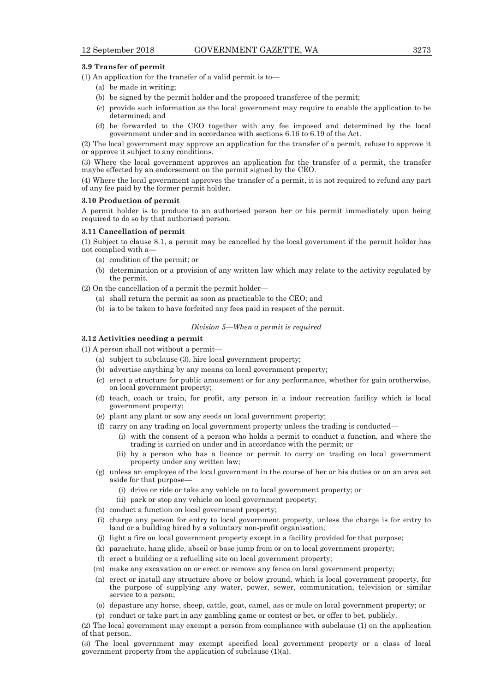## **3.9 Transfer of permit**

(1) An application for the transfer of a valid permit is to—

- (a) be made in writing;
- (b) be signed by the permit holder and the proposed transferee of the permit;
- (c) provide such information as the local government may require to enable the application to be determined; and
- (d) be forwarded to the CEO together with any fee imposed and determined by the local government under and in accordance with sections 6.16 to 6.19 of the Act.

(2) The local government may approve an application for the transfer of a permit, refuse to approve it or approve it subject to any conditions.

(3) Where the local government approves an application for the transfer of a permit, the transfer maybe effected by an endorsement on the permit signed by the CEO.

(4) Where the local government approves the transfer of a permit, it is not required to refund any part of any fee paid by the former permit holder.

## **3.10 Production of permit**

A permit holder is to produce to an authorised person her or his permit immediately upon being required to do so by that authorised person.

#### **3.11 Cancellation of permit**

(1) Subject to clause 8.1, a permit may be cancelled by the local government if the permit holder has not complied with a—

- (a) condition of the permit; or
- (b) determination or a provision of any written law which may relate to the activity regulated by the permit.

(2) On the cancellation of a permit the permit holder—

- (a) shall return the permit as soon as practicable to the CEO; and
- (b) is to be taken to have forfeited any fees paid in respect of the permit.

## *Division 5—When a permit is required*

## **3.12 Activities needing a permit**

(1) A person shall not without a permit—

- (a) subject to subclause (3), hire local government property;
- (b) advertise anything by any means on local government property;
- (c) erect a structure for public amusement or for any performance, whether for gain orotherwise, on local government property;
- (d) teach, coach or train, for profit, any person in a indoor recreation facility which is local government property;
- (e) plant any plant or sow any seeds on local government property;
- (f) carry on any trading on local government property unless the trading is conducted—
	- (i) with the consent of a person who holds a permit to conduct a function, and where the trading is carried on under and in accordance with the permit; or
	- (ii) by a person who has a licence or permit to carry on trading on local government property under any written law;
- (g) unless an employee of the local government in the course of her or his duties or on an area set aside for that purpose—
	- (i) drive or ride or take any vehicle on to local government property; or
	- (ii) park or stop any vehicle on local government property;
- (h) conduct a function on local government property;
- (i) charge any person for entry to local government property, unless the charge is for entry to land or a building hired by a voluntary non-profit organisation;
- (j) light a fire on local government property except in a facility provided for that purpose;
- (k) parachute, hang glide, abseil or base jump from or on to local government property;
- (l) erect a building or a refuelling site on local government property;
- (m) make any excavation on or erect or remove any fence on local government property;
- (n) erect or install any structure above or below ground, which is local government property, for the purpose of supplying any water, power, sewer, communication, television or similar service to a person;
- (o) depasture any horse, sheep, cattle, goat, camel, ass or mule on local government property; or
- (p) conduct or take part in any gambling game or contest or bet, or offer to bet, publicly.

(2) The local government may exempt a person from compliance with subclause (1) on the application of that person.

(3) The local government may exempt specified local government property or a class of local government property from the application of subclause (1)(a).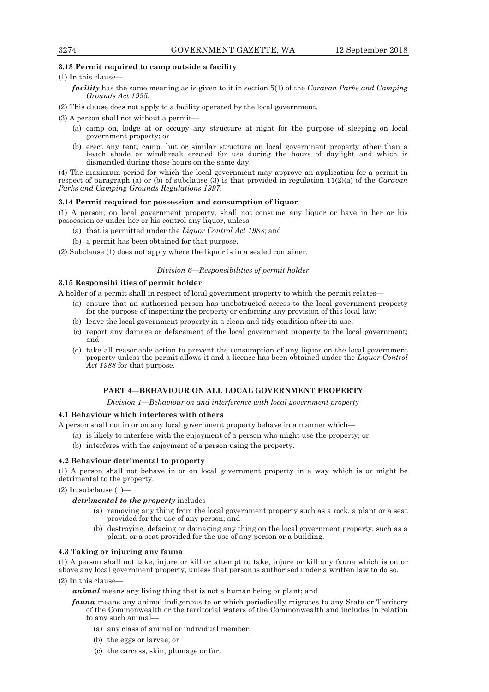## **3.13 Permit required to camp outside a facility**

(1) In this clause—

- *facility* has the same meaning as is given to it in section 5(1) of the *Caravan Parks and Camping Grounds Act 1995*.
- (2) This clause does not apply to a facility operated by the local government.

(3) A person shall not without a permit—

- (a) camp on, lodge at or occupy any structure at night for the purpose of sleeping on local government property; or
- (b) erect any tent, camp, hut or similar structure on local government property other than a beach shade or windbreak erected for use during the hours of daylight and which is dismantled during those hours on the same day.

(4) The maximum period for which the local government may approve an application for a permit in respect of paragraph (a) or (b) of subclause (3) is that provided in regulation 11(2)(a) of the *Caravan Parks and Camping Grounds Regulations 1997*.

## **3.14 Permit required for possession and consumption of liquor**

(1) A person, on local government property, shall not consume any liquor or have in her or his possession or under her or his control any liquor, unless—

- (a) that is permitted under the *Liquor Control Act 1988*; and
- (b) a permit has been obtained for that purpose.

(2) Subclause (1) does not apply where the liquor is in a sealed container.

## *Division 6—Responsibilities of permit holder*

## **3.15 Responsibilities of permit holder**

A holder of a permit shall in respect of local government property to which the permit relates—

- (a) ensure that an authorised person has unobstructed access to the local government property for the purpose of inspecting the property or enforcing any provision of this local law:
- (b) leave the local government property in a clean and tidy condition after its use;
- (c) report any damage or defacement of the local government property to the local government; and
- (d) take all reasonable action to prevent the consumption of any liquor on the local government property unless the permit allows it and a licence has been obtained under the *Liquor Control Act 1988* for that purpose.

## **PART 4—BEHAVIOUR ON ALL LOCAL GOVERNMENT PROPERTY**

*Division 1—Behaviour on and interference with local government property* 

## **4.1 Behaviour which interferes with others**

A person shall not in or on any local government property behave in a manner which—

- (a) is likely to interfere with the enjoyment of a person who might use the property; or
- (b) interferes with the enjoyment of a person using the property.

## **4.2 Behaviour detrimental to property**

(1) A person shall not behave in or on local government property in a way which is or might be detrimental to the property.

(2) In subclause (1)—

- *detrimental to the property* includes—
	- (a) removing any thing from the local government property such as a rock, a plant or a seat provided for the use of any person; and
	- (b) destroying, defacing or damaging any thing on the local government property, such as a plant, or a seat provided for the use of any person or a building.

## **4.3 Taking or injuring any fauna**

(1) A person shall not take, injure or kill or attempt to take, injure or kill any fauna which is on or above any local government property, unless that person is authorised under a written law to do so.

(2) In this clause—

*animal* means any living thing that is not a human being or plant; and

- *fauna* means any animal indigenous to or which periodically migrates to any State or Territory of the Commonwealth or the territorial waters of the Commonwealth and includes in relation to any such animal—
	- (a) any class of animal or individual member;
	- (b) the eggs or larvae; or
	- (c) the carcass, skin, plumage or fur.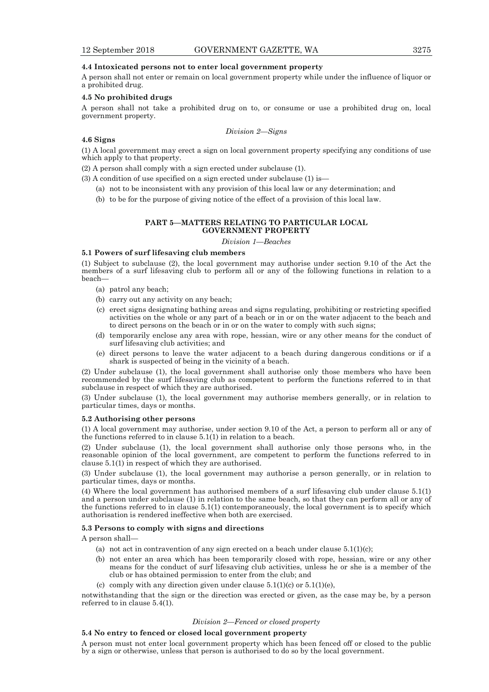## **4.4 Intoxicated persons not to enter local government property**

A person shall not enter or remain on local government property while under the influence of liquor or a prohibited drug.

## **4.5 No prohibited drugs**

A person shall not take a prohibited drug on to, or consume or use a prohibited drug on, local government property.

## *Division 2—Signs*

## **4.6 Signs**

(1) A local government may erect a sign on local government property specifying any conditions of use which apply to that property.

(2) A person shall comply with a sign erected under subclause (1).

(3) A condition of use specified on a sign erected under subclause (1) is—

- (a) not to be inconsistent with any provision of this local law or any determination; and
- (b) to be for the purpose of giving notice of the effect of a provision of this local law.

#### **PART 5—MATTERS RELATING TO PARTICULAR LOCAL GOVERNMENT PROPERTY**

*Division 1—Beaches* 

## **5.1 Powers of surf lifesaving club members**

(1) Subject to subclause (2), the local government may authorise under section 9.10 of the Act the members of a surf lifesaving club to perform all or any of the following functions in relation to a beach—

- (a) patrol any beach;
- (b) carry out any activity on any beach;
- (c) erect signs designating bathing areas and signs regulating, prohibiting or restricting specified activities on the whole or any part of a beach or in or on the water adjacent to the beach and to direct persons on the beach or in or on the water to comply with such signs;
- (d) temporarily enclose any area with rope, hessian, wire or any other means for the conduct of surf lifesaving club activities; and
- (e) direct persons to leave the water adjacent to a beach during dangerous conditions or if a shark is suspected of being in the vicinity of a beach.

(2) Under subclause (1), the local government shall authorise only those members who have been recommended by the surf lifesaving club as competent to perform the functions referred to in that subclause in respect of which they are authorised.

(3) Under subclause (1), the local government may authorise members generally, or in relation to particular times, days or months.

#### **5.2 Authorising other persons**

(1) A local government may authorise, under section 9.10 of the Act, a person to perform all or any of the functions referred to in clause 5.1(1) in relation to a beach.

(2) Under subclause (1), the local government shall authorise only those persons who, in the reasonable opinion of the local government, are competent to perform the functions referred to in clause 5.1(1) in respect of which they are authorised.

(3) Under subclause (1), the local government may authorise a person generally, or in relation to particular times, days or months.

(4) Where the local government has authorised members of a surf lifesaving club under clause 5.1(1) and a person under subclause (1) in relation to the same beach, so that they can perform all or any of the functions referred to in clause 5.1(1) contemporaneously, the local government is to specify which authorisation is rendered ineffective when both are exercised.

#### **5.3 Persons to comply with signs and directions**

A person shall—

- (a) not act in contravention of any sign erected on a beach under clause  $5.1(1)(c)$ ;
- (b) not enter an area which has been temporarily closed with rope, hessian, wire or any other means for the conduct of surf lifesaving club activities, unless he or she is a member of the club or has obtained permission to enter from the club; and
- (c) comply with any direction given under clause  $5.1(1)(c)$  or  $5.1(1)(e)$ ,

notwithstanding that the sign or the direction was erected or given, as the case may be, by a person referred to in clause 5.4(1).

#### *Division 2—Fenced or closed property*

## **5.4 No entry to fenced or closed local government property**

A person must not enter local government property which has been fenced off or closed to the public by a sign or otherwise, unless that person is authorised to do so by the local government.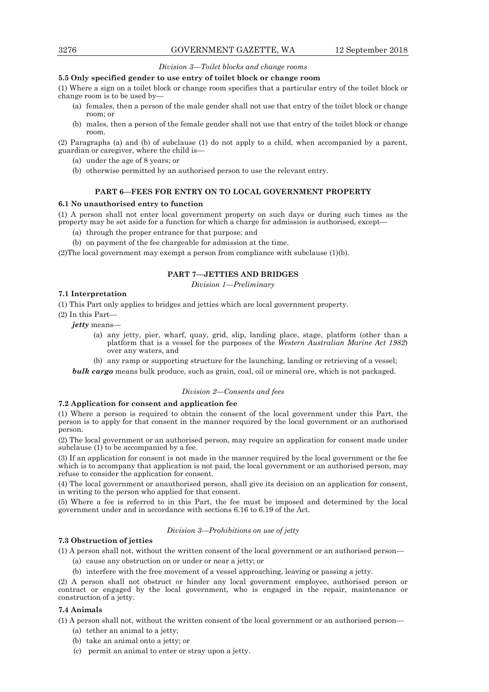## *Division 3—Toilet blocks and change rooms*

## **5.5 Only specified gender to use entry of toilet block or change room**

(1) Where a sign on a toilet block or change room specifies that a particular entry of the toilet block or change room is to be used by—

- (a) females, then a person of the male gender shall not use that entry of the toilet block or change room; or
- (b) males, then a person of the female gender shall not use that entry of the toilet block or change room.

(2) Paragraphs (a) and (b) of subclause (1) do not apply to a child, when accompanied by a parent, guardian or caregiver, where the child is—

- (a) under the age of 8 years; or
- (b) otherwise permitted by an authorised person to use the relevant entry.

## **PART 6—FEES FOR ENTRY ON TO LOCAL GOVERNMENT PROPERTY**

#### **6.1 No unauthorised entry to function**

(1) A person shall not enter local government property on such days or during such times as the property may be set aside for a function for which a charge for admission is authorised, except—

- (a) through the proper entrance for that purpose; and
- (b) on payment of the fee chargeable for admission at the time.

(2)The local government may exempt a person from compliance with subclause (1)(b).

## **PART 7—JETTIES AND BRIDGES**

*Division 1—Preliminary* 

## **7.1 Interpretation**

(1) This Part only applies to bridges and jetties which are local government property.

(2) In this Part—

*jetty* means—

- (a) any jetty, pier, wharf, quay, grid, slip, landing place, stage, platform (other than a platform that is a vessel for the purposes of the *Western Australian Marine Act 1982*) over any waters, and
- (b) any ramp or supporting structure for the launching, landing or retrieving of a vessel;

*bulk cargo* means bulk produce, such as grain, coal, oil or mineral ore, which is not packaged.

## *Division 2—Consents and fees*

## **7.2 Application for consent and application fee**

(1) Where a person is required to obtain the consent of the local government under this Part, the person is to apply for that consent in the manner required by the local government or an authorised person.

(2) The local government or an authorised person, may require an application for consent made under subclause (1) to be accompanied by a fee.

(3) If an application for consent is not made in the manner required by the local government or the fee which is to accompany that application is not paid, the local government or an authorised person, may refuse to consider the application for consent.

(4) The local government or anauthorised person, shall give its decision on an application for consent, in writing to the person who applied for that consent.

(5) Where a fee is referred to in this Part, the fee must be imposed and determined by the local government under and in accordance with sections 6.16 to 6.19 of the Act.

#### *Division 3—Prohibitions on use of jetty*

## **7.3 Obstruction of jetties**

(1) A person shall not, without the written consent of the local government or an authorised person—

- (a) cause any obstruction on or under or near a jetty; or
- (b) interfere with the free movement of a vessel approaching, leaving or passing a jetty.

(2) A person shall not obstruct or hinder any local government employee, authorised person or contract or engaged by the local government, who is engaged in the repair, maintenance or construction of a jetty.

## **7.4 Animals**

(1) A person shall not, without the written consent of the local government or an authorised person—

- (a) tether an animal to a jetty;
- (b) take an animal onto a jetty; or
- (c) permit an animal to enter or stray upon a jetty.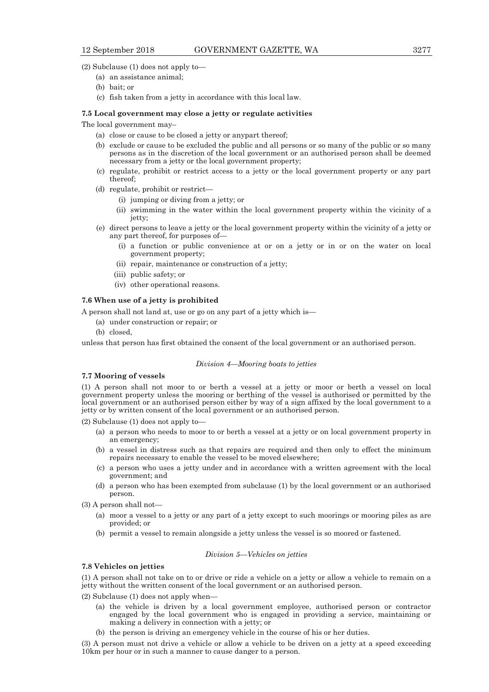(2) Subclause (1) does not apply to—

- (a) an assistance animal;
- (b) bait; or
- (c) fish taken from a jetty in accordance with this local law.

#### **7.5 Local government may close a jetty or regulate activities**

The local government may–

- (a) close or cause to be closed a jetty or anypart thereof;
- (b) exclude or cause to be excluded the public and all persons or so many of the public or so many persons as in the discretion of the local government or an authorised person shall be deemed necessary from a jetty or the local government property;
- (c) regulate, prohibit or restrict access to a jetty or the local government property or any part thereof;
- (d) regulate, prohibit or restrict—
	- (i) jumping or diving from a jetty; or
	- (ii) swimming in the water within the local government property within the vicinity of a jetty;
- (e) direct persons to leave a jetty or the local government property within the vicinity of a jetty or any part thereof, for purposes of—
	- (i) a function or public convenience at or on a jetty or in or on the water on local government property;
	- (ii) repair, maintenance or construction of a jetty;
	- (iii) public safety; or
	- (iv) other operational reasons.

#### **7.6 When use of a jetty is prohibited**

A person shall not land at, use or go on any part of a jetty which is—

- (a) under construction or repair; or
- (b) closed,

unless that person has first obtained the consent of the local government or an authorised person.

#### *Division 4—Mooring boats to jetties*

## **7.7 Mooring of vessels**

(1) A person shall not moor to or berth a vessel at a jetty or moor or berth a vessel on local government property unless the mooring or berthing of the vessel is authorised or permitted by the local government or an authorised person either by way of a sign affixed by the local government to a jetty or by written consent of the local government or an authorised person.

(2) Subclause (1) does not apply to—

- (a) a person who needs to moor to or berth a vessel at a jetty or on local government property in an emergency;
- (b) a vessel in distress such as that repairs are required and then only to effect the minimum repairs necessary to enable the vessel to be moved elsewhere;
- (c) a person who uses a jetty under and in accordance with a written agreement with the local government; and
- (d) a person who has been exempted from subclause (1) by the local government or an authorised person.
- (3) A person shall not—
	- (a) moor a vessel to a jetty or any part of a jetty except to such moorings or mooring piles as are provided; or
	- (b) permit a vessel to remain alongside a jetty unless the vessel is so moored or fastened.

## *Division 5—Vehicles on jetties*

#### **7.8 Vehicles on jetties**

(1) A person shall not take on to or drive or ride a vehicle on a jetty or allow a vehicle to remain on a jetty without the written consent of the local government or an authorised person.

(2) Subclause (1) does not apply when—

- (a) the vehicle is driven by a local government employee, authorised person or contractor engaged by the local government who is engaged in providing a service, maintaining or making a delivery in connection with a jetty; or
- (b) the person is driving an emergency vehicle in the course of his or her duties.

(3) A person must not drive a vehicle or allow a vehicle to be driven on a jetty at a speed exceeding 10km per hour or in such a manner to cause danger to a person.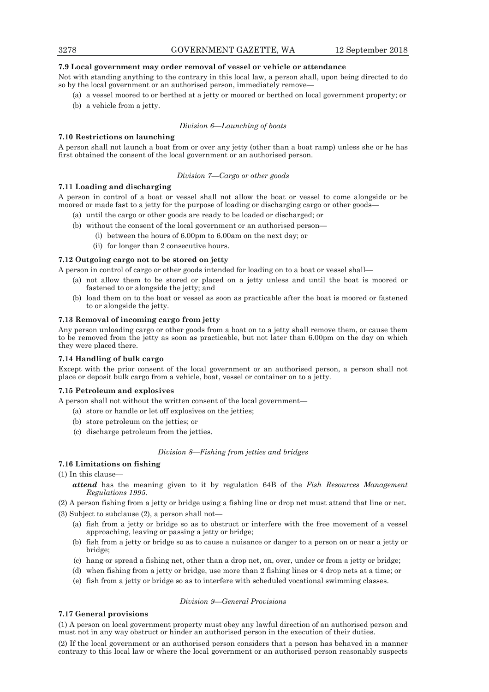## **7.9 Local government may order removal of vessel or vehicle or attendance**

Not with standing anything to the contrary in this local law, a person shall, upon being directed to do so by the local government or an authorised person, immediately remove—

- (a) a vessel moored to or berthed at a jetty or moored or berthed on local government property; or
- (b) a vehicle from a jetty.

#### *Division 6—Launching of boats*

## **7.10 Restrictions on launching**

A person shall not launch a boat from or over any jetty (other than a boat ramp) unless she or he has first obtained the consent of the local government or an authorised person.

## *Division 7—Cargo or other goods*

## **7.11 Loading and discharging**

A person in control of a boat or vessel shall not allow the boat or vessel to come alongside or be moored or made fast to a jetty for the purpose of loading or discharging cargo or other goods—

- (a) until the cargo or other goods are ready to be loaded or discharged; or
- (b) without the consent of the local government or an authorised person—
	- (i) between the hours of 6.00pm to 6.00am on the next day; or
	- (ii) for longer than 2 consecutive hours.

#### **7.12 Outgoing cargo not to be stored on jetty**

A person in control of cargo or other goods intended for loading on to a boat or vessel shall—

- (a) not allow them to be stored or placed on a jetty unless and until the boat is moored or fastened to or alongside the jetty; and
- (b) load them on to the boat or vessel as soon as practicable after the boat is moored or fastened to or alongside the jetty.

## **7.13 Removal of incoming cargo from jetty**

Any person unloading cargo or other goods from a boat on to a jetty shall remove them, or cause them to be removed from the jetty as soon as practicable, but not later than 6.00pm on the day on which they were placed there.

## **7.14 Handling of bulk cargo**

Except with the prior consent of the local government or an authorised person, a person shall not place or deposit bulk cargo from a vehicle, boat, vessel or container on to a jetty.

## **7.15 Petroleum and explosives**

A person shall not without the written consent of the local government—

- (a) store or handle or let off explosives on the jetties;
- (b) store petroleum on the jetties; or
- (c) discharge petroleum from the jetties.

## *Division 8—Fishing from jetties and bridges*

## **7.16 Limitations on fishing**

(1) In this clause—

*attend* has the meaning given to it by regulation 64B of the *Fish Resources Management Regulations 1995*.

(2) A person fishing from a jetty or bridge using a fishing line or drop net must attend that line or net.

(3) Subject to subclause (2), a person shall not—

- (a) fish from a jetty or bridge so as to obstruct or interfere with the free movement of a vessel approaching, leaving or passing a jetty or bridge;
- (b) fish from a jetty or bridge so as to cause a nuisance or danger to a person on or near a jetty or bridge;
- (c) hang or spread a fishing net, other than a drop net, on, over, under or from a jetty or bridge;
- (d) when fishing from a jetty or bridge, use more than 2 fishing lines or 4 drop nets at a time; or
- (e) fish from a jetty or bridge so as to interfere with scheduled vocational swimming classes.

#### *Division 9—General Provisions*

## **7.17 General provisions**

(1) A person on local government property must obey any lawful direction of an authorised person and must not in any way obstruct or hinder an authorised person in the execution of their duties.

(2) If the local government or an authorised person considers that a person has behaved in a manner contrary to this local law or where the local government or an authorised person reasonably suspects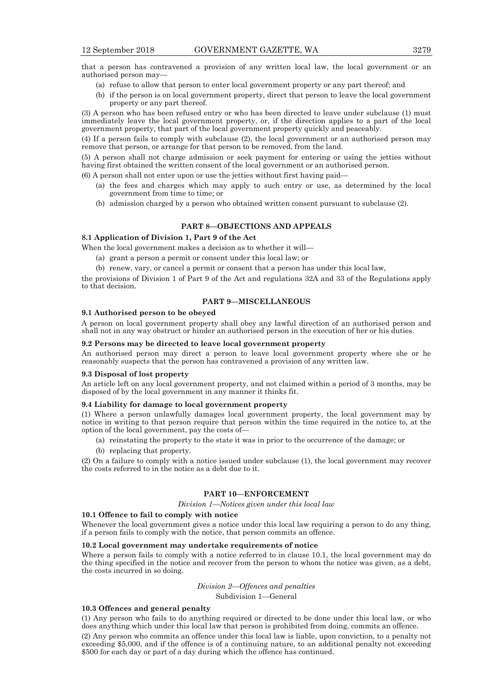that a person has contravened a provision of any written local law, the local government or an authorised person may—

- (a) refuse to allow that person to enter local government property or any part thereof; and
- (b) if the person is on local government property, direct that person to leave the local government property or any part thereof.

(3) A person who has been refused entry or who has been directed to leave under subclause (1) must immediately leave the local government property, or, if the direction applies to a part of the local government property, that part of the local government property quickly and peaceably.

(4) If a person fails to comply with subclause (2), the local government or an authorised person may remove that person, or arrange for that person to be removed, from the land.

(5) A person shall not charge admission or seek payment for entering or using the jetties without having first obtained the written consent of the local government or an authorised person.

(6) A person shall not enter upon or use the jetties without first having paid—

- (a) the fees and charges which may apply to such entry or use, as determined by the local government from time to time; or
- (b) admission charged by a person who obtained written consent pursuant to subclause (2).

## **PART 8—OBJECTIONS AND APPEALS**

## **8.1 Application of Division 1, Part 9 of the Act**

When the local government makes a decision as to whether it will—

- (a) grant a person a permit or consent under this local law; or
- (b) renew, vary, or cancel a permit or consent that a person has under this local law,

the provisions of Division 1 of Part 9 of the Act and regulations 32A and 33 of the Regulations apply to that decision.

## **PART 9—MISCELLANEOUS**

#### **9.1 Authorised person to be obeyed**

A person on local government property shall obey any lawful direction of an authorised person and shall not in any way obstruct or hinder an authorised person in the execution of her or his duties.

## **9.2 Persons may be directed to leave local government property**

An authorised person may direct a person to leave local government property where she or he reasonably suspects that the person has contravened a provision of any written law.

#### **9.3 Disposal of lost property**

An article left on any local government property, and not claimed within a period of 3 months, may be disposed of by the local government in any manner it thinks fit.

## **9.4 Liability for damage to local government property**

(1) Where a person unlawfully damages local government property, the local government may by notice in writing to that person require that person within the time required in the notice to, at the option of the local government, pay the costs of—

- (a) reinstating the property to the state it was in prior to the occurrence of the damage; or
- (b) replacing that property.

(2) On a failure to comply with a notice issued under subclause (1), the local government may recover the costs referred to in the notice as a debt due to it.

## **PART 10—ENFORCEMENT**

*Division 1—Notices given under this local law* 

#### **10.1 Offence to fail to comply with notice**

Whenever the local government gives a notice under this local law requiring a person to do any thing, if a person fails to comply with the notice, that person commits an offence.

#### **10.2 Local government may undertake requirements of notice**

Where a person fails to comply with a notice referred to in clause 10.1, the local government may do the thing specified in the notice and recover from the person to whom the notice was given, as a debt, the costs incurred in so doing.

#### *Division 2—Offences and penalties*

Subdivision 1—General

## **10.3 Offences and general penalty**

(1) Any person who fails to do anything required or directed to be done under this local law, or who does anything which under this local law that person is prohibited from doing, commits an offence.

(2) Any person who commits an offence under this local law is liable, upon conviction, to a penalty not exceeding \$5,000, and if the offence is of a continuing nature, to an additional penalty not exceeding \$500 for each day or part of a day during which the offence has continued.